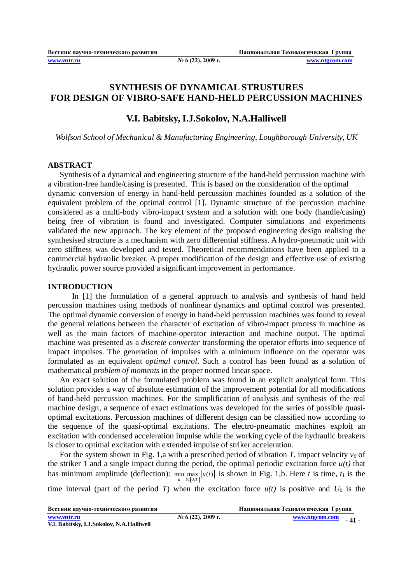**www.vntr.ru № 6 (22), 2009 г. www.ntgcom.com**

# **SYNTHESIS OF DYNAMICAL STRUSTURES FOR DESIGN OF VIBRO-SAFE HAND-HELD PERCUSSION MACHINES**

## **V.I. Babitsky, I.J.Sokolov, N.A.Halliwell**

*Wolfson School of Mechanical & Manufacturing Engineering, Loughborough University, UK*

#### **ABSTRACT**

Synthesis of a dynamical and engineering structure of the hand-held percussion machine with a vibration-free handle/casing is presented. This is based on the consideration of the optimal dynamic conversion of energy in hand-held percussion machines founded as a solution of the equivalent problem of the optimal control [1]. Dynamic structure of the percussion machine considered as a multi-body vibro-impact system and a solution with one body (handle/casing) being free of vibration is found and investigated. Computer simulations and experiments validated the new approach. The key element of the proposed engineering design realising the synthesised structure is a mechanism with zero differential stiffness. A hydro-pneumatic unit with zero stiffness was developed and tested. Theoretical recommendations have been applied to a commercial hydraulic breaker. A proper modification of the design and effective use of existing hydraulic power source provided a significant improvement in performance.

#### **INTRODUCTION**

In [1] the formulation of a general approach to analysis and synthesis of hand held percussion machines using methods of nonlinear dynamics and optimal control was presented. The optimal dynamic conversion of energy in hand-held percussion machines was found to reveal the general relations between the character of excitation of vibro-impact process in machine as well as the main factors of machine-operator interaction and machine output. The optimal machine was presented as a *discrete converter* transforming the operator efforts into sequence of impact impulses. The generation of impulses with a minimum influence on the operator was formulated as an equivalent *optimal control*. Such a control has been found as a solution of mathematical *problem of moments* in the proper normed linear space.

An exact solution of the formulated problem was found in an explicit analytical form. This solution provides a way of absolute estimation of the improvement potential for all modifications of hand-held percussion machines. For the simplification of analysis and synthesis of the real machine design, a sequence of exact estimations was developed for the series of possible quasioptimal excitations. Percussion machines of different design can be classified now according to the sequence of the quasi-optimal excitations. The electro-pneumatic machines exploit an excitation with condensed acceleration impulse while the working cycle of the hydraulic breakers is closer to optimal excitation with extended impulse of striker acceleration.

For the system shown in Fig. 1,a with a prescribed period of vibration *T*, impact velocity  $v_0$  of the striker 1 and a single impact during the period, the optimal periodic excitation force  $u(t)$  that has minimum amplitude (deflection):  $\lim_{u \to t \in [0,T]} |u(t)|$  is shown in Fig. 1,b. Here *t* is time,  $t_1$  is the time interval (part of the period *T*) when the excitation force  $u(t)$  is positive and  $U_0$  is the

| Вестник научно-технического развития      |                                 | Национальная Технологическая Группа  |  |
|-------------------------------------------|---------------------------------|--------------------------------------|--|
| www.yntr.ru                               | $\mathcal{N}_2$ 6 (22), 2009 г. | $\frac{\text{www.ntgcom.com}}{41}$ - |  |
| V.I. Babitsky, I.J.Sokolov, N.A.Halliwell |                                 |                                      |  |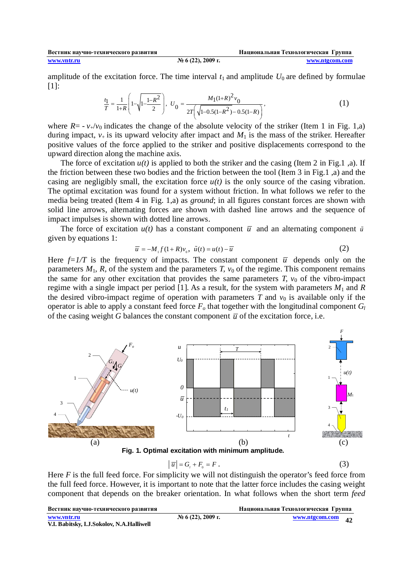| Вестник научно-технического развития |                      | Национальная Технологическая Группа |
|--------------------------------------|----------------------|-------------------------------------|
| www.vntr.ru                          | $N2$ 6 (22), 2009 г. | www.ntgcom.com                      |

amplitude of the excitation force. The time interval  $t_1$  and amplitude  $U_0$  are defined by formulae [1]:

$$
\frac{t_1}{T} = \frac{1}{1+R} \left( 1 - \sqrt{1 - \frac{1-R^2}{2}} \right), \ U_0 = \frac{M_1(1+R)^2 v_0}{2T \left( \sqrt{1 - 0.5(1-R^2)} - 0.5(1-R) \right)},\tag{1}
$$

where  $R = -v_+ / v_0$  indicates the change of the absolute velocity of the striker (Item 1 in Fig. 1,a) during impact,  $v_+$  is its upward velocity after impact and  $M_1$  is the mass of the striker. Hereafter positive values of the force applied to the striker and positive displacements correspond to the upward direction along the machine axis.

The force of excitation  $u(t)$  is applied to both the striker and the casing (Item 2 in Fig.1 ,a). If the friction between these two bodies and the friction between the tool (Item 3 in Fig.1 ,a) and the casing are negligibly small, the excitation force  $u(t)$  is the only source of the casing vibration. The optimal excitation was found for a system without friction. In what follows we refer to the media being treated (Item 4 in Fig. 1,a) as *ground*; in all figures constant forces are shown with solid line arrows, alternating forces are shown with dashed line arrows and the sequence of impact impulses is shown with dotted line arrows.

The force of excitation  $u(t)$  has a constant component  $\overline{u}$  and an alternating component  $\tilde{u}$ given by equations 1:

$$
\overline{u} = -M_{1}f(1+R)v_{0}, \quad \tilde{u}(t) = u(t) - \overline{u}
$$
\n(2)

Here  $f=1/T$  is the frequency of impacts. The constant component  $\overline{u}$  depends only on the parameters  $M_1$ ,  $R$ , of the system and the parameters  $T$ ,  $v_0$  of the regime. This component remains the same for any other excitation that provides the same parameters  $T$ ,  $v_0$  of the vibro-impact regime with a single impact per period [1]. As a result, for the system with parameters  $M_1$  and  $R$ the desired vibro-impact regime of operation with parameters  $T$  and  $v_0$  is available only if the operator is able to apply a constant feed force  $F<sub>o</sub>$  that together with the longitudinal component  $G<sub>l</sub>$ of the casing weight *G* balances the constant component  $\overline{u}$  of the excitation force, i.e.



$$
\left|\overline{u}\right| = G_{1} + F_{0} = F. \tag{3}
$$

Here *F* is the full feed force. For simplicity we will not distinguish the operator's feed force from the full feed force. However, it is important to note that the latter force includes the casing weight component that depends on the breaker orientation. In what follows when the short term *feed*

| Вестник научно-технического развития      |                                 | Национальная Технологическая Группа |
|-------------------------------------------|---------------------------------|-------------------------------------|
| www.yntr.ru                               | $\mathcal{N}_2$ 6 (22), 2009 г. | www.ntgcom.com 42                   |
| V.I. Babitsky, I.J.Sokolov, N.A.Halliwell |                                 |                                     |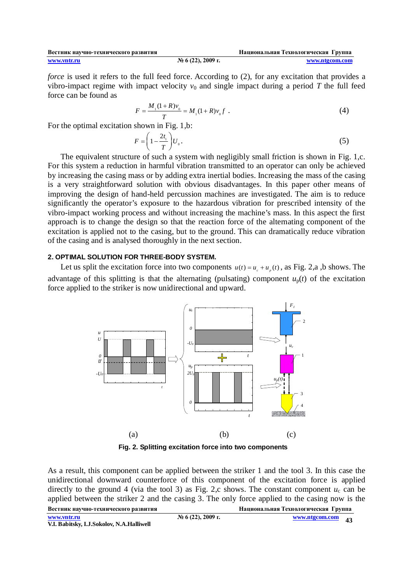| Вестник научно-технического развития |                                 | Национальная Технологическая Группа |
|--------------------------------------|---------------------------------|-------------------------------------|
| www.yntr.ru                          | $\mathcal{N}_2$ 6 (22), 2009 г. | www.ntgcom.com                      |

*force* is used it refers to the full feed force. According to (2), for any excitation that provides a vibro-impact regime with impact velocity  $v_0$  and single impact during a period T the full feed force can be found as

$$
F = \frac{M_1(1+R)v_0}{T} = M_1(1+R)v_0 f \tag{4}
$$

For the optimal excitation shown in Fig. 1,b:

$$
F = \left(1 - \frac{2t_1}{T}\right) U_0. \tag{5}
$$

The equivalent structure of such a system with negligibly small friction is shown in Fig. 1,c. For this system a reduction in harmful vibration transmitted to an operator can only be achieved by increasing the casing mass or by adding extra inertial bodies. Increasing the mass of the casing is a very straightforward solution with obvious disadvantages. In this paper other means of improving the design of hand-held percussion machines are investigated. The aim is to reduce significantly the operator's exposure to the hazardous vibration for prescribed intensity of the vibro-impact working process and without increasing the machine's mass. In this aspect the first approach is to change the design so that the reaction force of the alternating component of the excitation is applied not to the casing, but to the ground. This can dramatically reduce vibration of the casing and is analysed thoroughly in the next section.

### **2. OPTIMAL SOLUTION FOR THREE-BODY SYSTEM.**

Let us split the excitation force into two components  $u(t) = u_c + u_p(t)$ , as Fig. 2,a, b shows. The advantage of this splitting is that the alternating (pulsating) component  $u<sub>p</sub>(t)$  of the excitation force applied to the striker is now unidirectional and upward.



**Fig. 2. Splitting excitation force into two components**

**Вестник научно-технического развития Национальная Технологическая Группа** As a result, this component can be applied between the striker 1 and the tool 3. In this case the unidirectional downward counterforce of this component of the excitation force is applied directly to the ground 4 (via the tool 3) as Fig. 2,c shows. The constant component  $u_c$  can be applied between the striker 2 and the casing 3. The only force applied to the casing now is the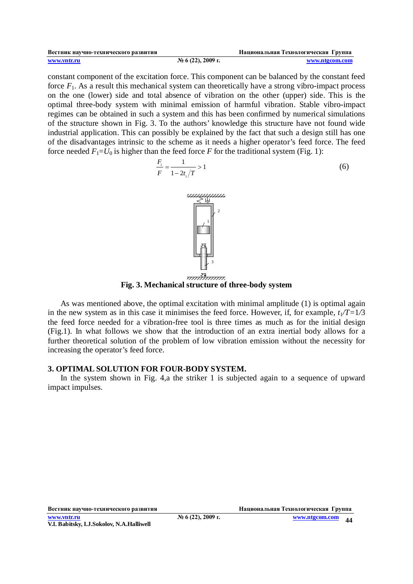| Вестник научно-технического развития |                      | Национальная Технологическая Группа |
|--------------------------------------|----------------------|-------------------------------------|
| www.yntr.ru                          | $N2$ 6 (22), 2009 г. | www.ntgcom.com                      |

constant component of the excitation force. This component can be balanced by the constant feed force  $F_1$ . As a result this mechanical system can theoretically have a strong vibro-impact process on the one (lower) side and total absence of vibration on the other (upper) side. This is the optimal three-body system with minimal emission of harmful vibration. Stable vibro-impact regimes can be obtained in such a system and this has been confirmed by numerical simulations of the structure shown in Fig. 3. To the authors' knowledge this structure have not found wide industrial application. This can possibly be explained by the fact that such a design still has one of the disadvantages intrinsic to the scheme as it needs a higher operator's feed force. The feed force needed  $F_1 = U_0$  is higher than the feed force *F* for the traditional system (Fig. 1):

$$
\frac{F_1}{F} = \frac{1}{1 - 2t_1/T} > 1
$$
\n
$$
\frac{22222222222}{\left(\frac{1}{2}\right)^2}
$$
\n
$$
\frac{1}{\left(\frac{1}{2}\right)^2}
$$
\n
$$
\frac{1}{\left(\frac{1}{2}\right)^2}
$$
\n
$$
\frac{1}{\sqrt{2}}
$$
\n
$$
\frac{1}{\sqrt{2}}
$$
\n
$$
\frac{1}{\sqrt{2}}
$$
\n
$$
\frac{1}{\sqrt{2}}
$$
\n
$$
\frac{1}{\sqrt{2}}
$$
\n
$$
\frac{1}{\sqrt{2}}
$$
\n
$$
\frac{1}{\sqrt{2}}
$$
\n
$$
\frac{1}{\sqrt{2}}
$$
\n
$$
\frac{1}{\sqrt{2}}
$$
\n
$$
\frac{1}{\sqrt{2}}
$$
\n
$$
\frac{1}{\sqrt{2}}
$$
\n
$$
\frac{1}{\sqrt{2}}
$$
\n
$$
\frac{1}{\sqrt{2}}
$$
\n
$$
\frac{1}{\sqrt{2}}
$$
\n
$$
\frac{1}{\sqrt{2}}
$$
\n
$$
\frac{1}{\sqrt{2}}
$$
\n
$$
\frac{1}{\sqrt{2}}
$$
\n
$$
\frac{1}{\sqrt{2}}
$$
\n
$$
\frac{1}{\sqrt{2}}
$$
\n
$$
\frac{1}{\sqrt{2}}
$$
\n
$$
\frac{1}{\sqrt{2}}
$$
\n
$$
\frac{1}{\sqrt{2}}
$$
\n
$$
\frac{1}{\sqrt{2}}
$$
\n
$$
\frac{1}{\sqrt{2}}
$$
\n
$$
\frac{1}{\sqrt{2}}
$$
\n
$$
\frac{1}{\sqrt{2}}
$$
\n
$$
\frac{1}{\sqrt{2}}
$$
\n
$$
\frac{1}{\sqrt{2}}
$$
\n
$$
\frac{1}{\sqrt{2}}
$$
\n
$$
\frac{1}{\sqrt{2}}
$$
\n
$$
\frac{1}{\sqrt{2}}
$$
\n
$$
\frac{1}{\sqrt{2}}
$$
\n
$$
\frac{1}{\sqrt{2}}
$$
\n
$$
\frac{1}{\sqrt{2}}
$$
\n
$$
\frac{1}{\sqrt{2}}
$$
\n
$$
\frac{1}{\
$$

**Fig. 3. Mechanical structure of three-body system**

As was mentioned above, the optimal excitation with minimal amplitude (1) is optimal again in the new system as in this case it minimises the feed force. However, if, for example,  $t_1/T=1/3$ the feed force needed for a vibration-free tool is three times as much as for the initial design (Fig.1). In what follows we show that the introduction of an extra inertial body allows for a further theoretical solution of the problem of low vibration emission without the necessity for increasing the operator's feed force.

## **3. OPTIMAL SOLUTION FOR FOUR-BODY SYSTEM.**

In the system shown in Fig. 4,a the striker 1 is subjected again to a sequence of upward impact impulses.

**Вестник научно-технического развития Национальная Технологическая Группа**

**44**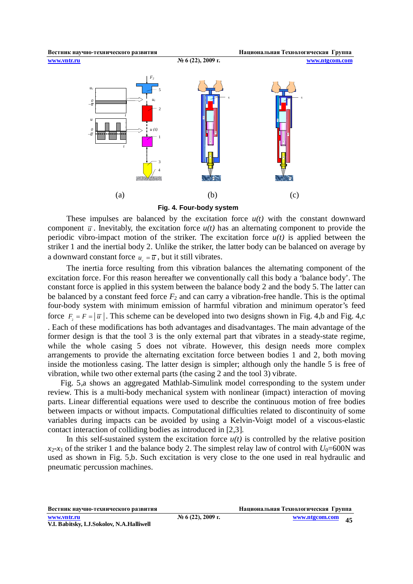

**Fig. 4. Four-body system**

These impulses are balanced by the excitation force  $u(t)$  with the constant downward component  $\overline{u}$ . Inevitably, the excitation force  $u(t)$  has an alternating component to provide the periodic vibro-impact motion of the striker. The excitation force  $u(t)$  is applied between the striker 1 and the inertial body 2. Unlike the striker, the latter body can be balanced on average by a downward constant force  $u_c = \overline{u}$ , but it still vibrates.

The inertia force resulting from this vibration balances the alternating component of the excitation force. For this reason hereafter we conventionally call this body a 'balance body'. The constant force is applied in this system between the balance body 2 and the body 5. The latter can be balanced by a constant feed force  $F_2$  and can carry a vibration-free handle. This is the optimal four-body system with minimum emission of harmful vibration and minimum operator's feed force  $F_2 = F = |\overline{u}|$ . This scheme can be developed into two designs shown in Fig. 4,b and Fig. 4,c . Each of these modifications has both advantages and disadvantages. The main advantage of the former design is that the tool 3 is the only external part that vibrates in a steady-state regime, while the whole casing 5 does not vibrate. However, this design needs more complex arrangements to provide the alternating excitation force between bodies 1 and 2, both moving inside the motionless casing. The latter design is simpler; although only the handle 5 is free of vibration, while two other external parts (the casing 2 and the tool 3) vibrate.

Fig. 5,a shows an aggregated Mathlab-Simulink model corresponding to the system under review. This is a multi-body mechanical system with nonlinear (impact) interaction of moving parts. Linear differential equations were used to describe the continuous motion of free bodies between impacts or without impacts. Computational difficulties related to discontinuity of some variables during impacts can be avoided by using a Kelvin-Voigt model of a viscous-elastic contact interaction of colliding bodies as introduced in [2,3].

In this self-sustained system the excitation force  $u(t)$  is controlled by the relative position  $x_2$ -*x*<sub>1</sub> of the striker 1 and the balance body 2. The simplest relay law of control with  $U_0$ =600N was used as shown in Fig. 5,b. Such excitation is very close to the one used in real hydraulic and pneumatic percussion machines.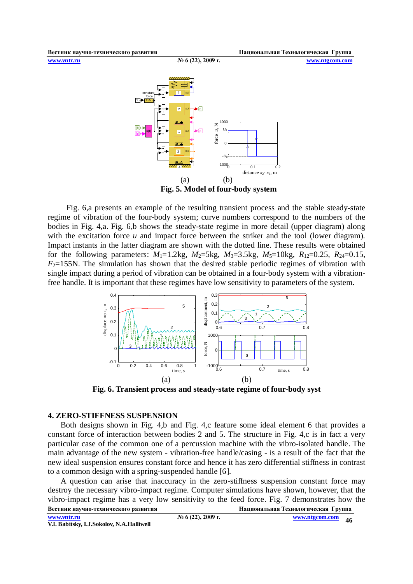

**www.vntr.ru № 6 (22), 2009 г. www.ntgcom.com**

Fig. 6,a presents an example of the resulting transient process and the stable steady-state regime of vibration of the four-body system; curve numbers correspond to the numbers of the bodies in Fig. 4,a. Fig. 6,b shows the steady-state regime in more detail (upper diagram) along with the excitation force *u* and impact force between the striker and the tool (lower diagram). Impact instants in the latter diagram are shown with the dotted line. These results were obtained for the following parameters:  $M_1 = 1.2$ kg,  $M_2 = 5$ kg,  $M_3 = 3.5$ kg,  $M_5 = 10$ kg,  $R_{12} = 0.25$ ,  $R_{24} = 0.15$ ,  $F_2$ =155N. The simulation has shown that the desired stable periodic regimes of vibration with single impact during a period of vibration can be obtained in a four-body system with a vibrationfree handle. It is important that these regimes have low sensitivity to parameters of the system.



**Fig. 6. Transient process and steady-state regime of four-body syst**

## **4. ZERO-STIFFNESS SUSPENSION**

Both designs shown in Fig. 4,b and Fig. 4,c feature some ideal element 6 that provides a constant force of interaction between bodies 2 and 5. The structure in Fig. 4,c is in fact a very particular case of the common one of a percussion machine with the vibro-isolated handle. The main advantage of the new system - vibration-free handle/casing - is a result of the fact that the new ideal suspension ensures constant force and hence it has zero differential stiffness in contrast to a common design with a spring-suspended handle [6].

**Вестник научно-технического развития Национальная Технологическая Группа** A question can arise that inaccuracy in the zero-stiffness suspension constant force may destroy the necessary vibro-impact regime. Computer simulations have shown, however, that the vibro-impact regime has a very low sensitivity to the feed force. Fig. 7 demonstrates how the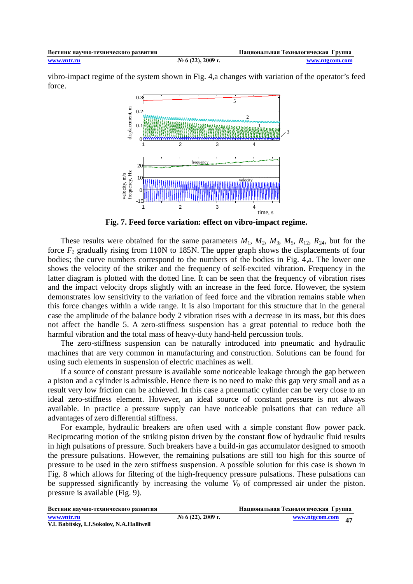| Вестник научно-технического развития |                                 | Национальная Технологическая Группа |
|--------------------------------------|---------------------------------|-------------------------------------|
| www.vntr.ru                          | $\mathcal{N}_2$ 6 (22), 2009 г. | www.ntgcom.com                      |

vibro-impact regime of the system shown in Fig. 4,a changes with variation of the operator's feed force.



**Fig. 7. Feed force variation: effect on vibro-impact regime.**

These results were obtained for the same parameters  $M_1$ ,  $M_2$ ,  $M_3$ ,  $M_5$ ,  $R_{12}$ ,  $R_{24}$ , but for the force *F*<sup>2</sup> gradually rising from 110N to 185N. The upper graph shows the displacements of four bodies; the curve numbers correspond to the numbers of the bodies in Fig. 4,a. The lower one shows the velocity of the striker and the frequency of self-excited vibration. Frequency in the latter diagram is plotted with the dotted line. It can be seen that the frequency of vibration rises and the impact velocity drops slightly with an increase in the feed force. However, the system demonstrates low sensitivity to the variation of feed force and the vibration remains stable when this force changes within a wide range. It is also important for this structure that in the general case the amplitude of the balance body 2 vibration rises with a decrease in its mass, but this does not affect the handle 5. A zero-stiffness suspension has a great potential to reduce both the harmful vibration and the total mass of heavy-duty hand-held percussion tools.

The zero-stiffness suspension can be naturally introduced into pneumatic and hydraulic machines that are very common in manufacturing and construction. Solutions can be found for using such elements in suspension of electric machines as well.

If a source of constant pressure is available some noticeable leakage through the gap between a piston and a cylinder is admissible. Hence there is no need to make this gap very small and as a result very low friction can be achieved. In this case a pneumatic cylinder can be very close to an ideal zero-stiffness element. However, an ideal source of constant pressure is not always available. In practice a pressure supply can have noticeable pulsations that can reduce all advantages of zero differential stiffness.

For example, hydraulic breakers are often used with a simple constant flow power pack. Reciprocating motion of the striking piston driven by the constant flow of hydraulic fluid results in high pulsations of pressure. Such breakers have a build-in gas accumulator designed to smooth the pressure pulsations. However, the remaining pulsations are still too high for this source of pressure to be used in the zero stiffness suspension. A possible solution for this case is shown in Fig. 8 which allows for filtering of the high-frequency pressure pulsations. These pulsations can be suppressed significantly by increasing the volume  $V_0$  of compressed air under the piston. pressure is available (Fig. 9).

| Вестник научно-технического развития      |                                 | Национальная Технологическая Группа |  |
|-------------------------------------------|---------------------------------|-------------------------------------|--|
| www.yntr.ru                               | $\mathcal{N}_2$ 6 (22), 2009 г. | <u>www.ntgcom.com</u> 47            |  |
| V.I. Babitsky, I.J.Sokolov, N.A.Halliwell |                                 |                                     |  |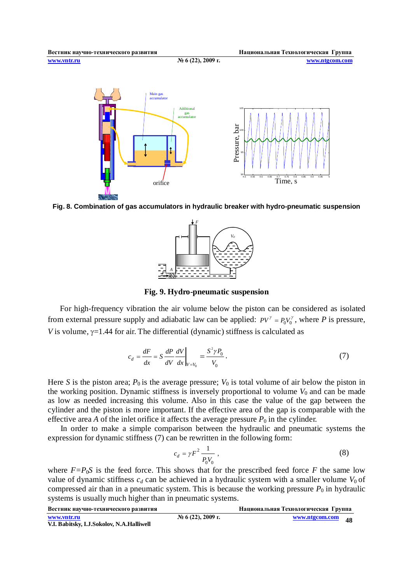

**Fig. 8. Combination of gas accumulators in hydraulic breaker with hydro-pneumatic suspension**



**Fig. 9. Hydro-pneumatic suspension**

For high-frequency vibration the air volume below the piston can be considered as isolated from external pressure supply and adiabatic law can be applied:  $PV^{\gamma} = P_0 V_0^{\gamma}$ , where *P* is pressure, *V* is volume,  $\gamma$ =1.44 for air. The differential (dynamic) stiffness is calculated as

$$
c_d = \frac{dF}{dx} = S \frac{dP}{dV} \frac{dV}{dx}\bigg|_{V=V_0} = \frac{S^2 \gamma P_0}{V_0} \,. \tag{7}
$$

Here *S* is the piston area;  $P_0$  is the average pressure;  $V_0$  is total volume of air below the piston in the working position. Dynamic stiffness is inversely proportional to volume  $V_0$  and can be made as low as needed increasing this volume. Also in this case the value of the gap between the cylinder and the piston is more important. If the effective area of the gap is comparable with the effective area *A* of the inlet orifice it affects the average pressure  $P_0$  in the cylinder.

In order to make a simple comparison between the hydraulic and pneumatic systems the expression for dynamic stiffness (7) can be rewritten in the following form:

$$
c_d = \gamma F^2 \frac{1}{P_0 V_0} \,, \tag{8}
$$

where  $F = P_0 S$  is the feed force. This shows that for the prescribed feed force *F* the same low value of dynamic stiffness  $c_d$  can be achieved in a hydraulic system with a smaller volume  $V_0$  of compressed air than in a pneumatic system. This is because the working pressure  $P_0$  in hydraulic systems is usually much higher than in pneumatic systems.

| Вестник научно-технического развития      |                                 | Национальная Технологическая Группа |  |
|-------------------------------------------|---------------------------------|-------------------------------------|--|
| www.yntr.ru                               | $\mathcal{N}_2$ 6 (22), 2009 г. | $\frac{\text{www.ntgcom.com}}{48}$  |  |
| V.I. Babitsky, I.J.Sokolov, N.A.Halliwell |                                 |                                     |  |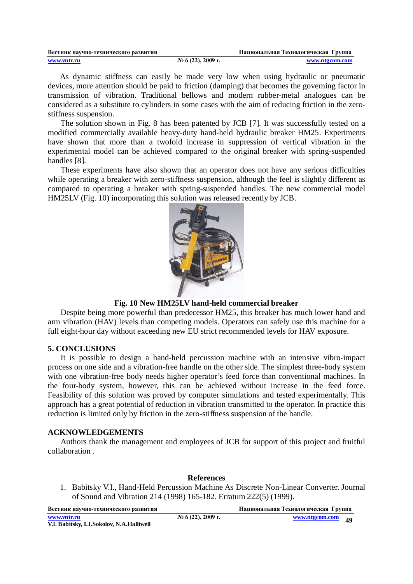| Вестник научно-технического развития |                      | Национальная Технологическая Группа |
|--------------------------------------|----------------------|-------------------------------------|
| www.yntr.ru                          | $N2$ 6 (22), 2009 г. | www.ntgcom.com                      |

As dynamic stiffness can easily be made very low when using hydraulic or pneumatic devices, more attention should be paid to friction (damping) that becomes the governing factor in transmission of vibration. Traditional bellows and modern rubber-metal analogues can be considered as a substitute to cylinders in some cases with the aim of reducing friction in the zerostiffness suspension.

The solution shown in Fig. 8 has been patented by JCB [7]. It was successfully tested on a modified commercially available heavy-duty hand-held hydraulic breaker HM25. Experiments have shown that more than a twofold increase in suppression of vertical vibration in the experimental model can be achieved compared to the original breaker with spring-suspended handles [8].

These experiments have also shown that an operator does not have any serious difficulties while operating a breaker with zero-stiffness suspension, although the feel is slightly different as compared to operating a breaker with spring-suspended handles. The new commercial model HM25LV (Fig. 10) incorporating this solution was released recently by JCB.



**Fig. 10 New HM25LV hand-held commercial breaker**

Despite being more powerful than predecessor HM25, this breaker has much lower hand and arm vibration (HAV) levels than competing models. Operators can safely use this machine for a full eight-hour day without exceeding new EU strict recommended levels for HAV exposure.

## **5. CONCLUSIONS**

It is possible to design a hand-held percussion machine with an intensive vibro-impact process on one side and a vibration-free handle on the other side. The simplest three-body system with one vibration-free body needs higher operator's feed force than conventional machines. In the four-body system, however, this can be achieved without increase in the feed force. Feasibility of this solution was proved by computer simulations and tested experimentally. This approach has a great potential of reduction in vibration transmitted to the operator. In practice this reduction is limited only by friction in the zero-stiffness suspension of the handle.

#### **ACKNOWLEDGEMENTS**

Authors thank the management and employees of JCB for support of this project and fruitful collaboration .

#### **References**

1. Babitsky V.I., Hand-Held Percussion Machine As Discrete Non-Linear Converter. Journal of Sound and Vibration 214 (1998) 165-182. Erratum 222(5) (1999).